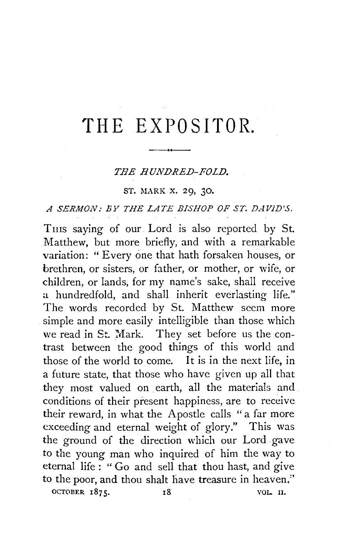# **'fH E EXPOSITOR.**

#### THE HUNDRED-FOLD.

#### ST. MARK X. 29, 30.

## *A SERMON: BY THE LATE BISHOP OF ST. DAVJD'S.*

Tms saying of our Lord is also reported by St. Matthew, but more briefly, and with a remarkable variation: " Every one that hath forsaken houses, or brethren, or sisters, or father, or mother, or wife, or children, or lands, for my name's sake, shall receive a hundredfold, and shall inherit everlasting life." The words recorded by St. Matthew seem more simple and more easily intelligible than those which we read in St. Mark. They set before us the contrast between the good things of this world and those of the world to come. It is in the next life, in a future state, that those who have given up all that they most valued on earth, all the materials and conditions of their present happiness, are to receive their reward, in what the Apostle calls "a far more exceeding and eternal weight of glory." This was the ground of the direction which our Lord gave to the young man who inquired of him the way to eternal life : " Go and sell that thou hast, and give to the poor, and thou shalt have treasure in heaven," OCTOBER 1875. 18 18 VOL. II.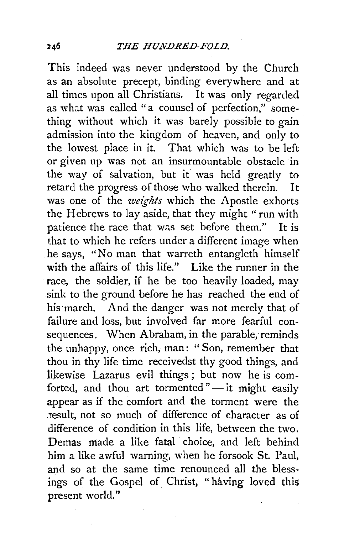This indeed was never understood by the Church as an absolute precept, binding everywhere and at all times upon all Christians. It was only regarded as what was called "a counsel of perfection," something without which it was barely possible to gain admission into the kingdom of heaven, and only to the lowest place in it. That which was to be left or given up was not an insurmountable obstacle in the way of salvation, but it was held greatly to retard the progress of those who walked therein. It was one of the *weights* which the Apostle exhorts the Hebrews to lay aside, that they might "run with patience the race that was set before them." It is that to which he refers under a different image when he says, "No man that warreth entangleth himself with the affairs of this life." Like the runner in the race, the soldier, if he be too heavily loaded, may sink to the ground before he has reached the end of his march. And the danger was not merely that of failure and loss, but involved far more fearful consequences. When Abraham, in the parable, reminds the unhappy, once rich, man: " Son, remember that thou in thy life time receivedst thy good things, and likewise Lazarus evil things; but now he is comforted, and thou art tormented" $-$  it might easily appear as if the comfort and the torment were the result, not so much of difference of character as of difference of condition in this life, between the two. Demas made a like fatal choice, and left behind him a like awful warning, when he forsook St. Paul, and so at the same time renounced all the blessings of the Gospel of Christ, "having loved this present world."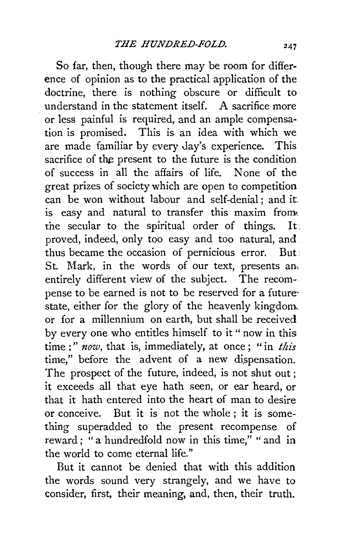So far, then, though there may be room for difference of opinion as to the practical application of the doctrine, there is nothing obscure or difficult to understand in the statement itself. A sacrifice more or less painful is required, and an ample compensation is promised. This is an idea with which we are made familiar by every day's experience. This sacrifice of the present to the future is the condition of success in all the affairs of life. None of the great prizes of society which are open to competition can be won without labour and self-denial ; and it. is easy and natural to transfer this maxim from. the secuiar to the spiritual order of things. It. proved, indeed, only too easy and too natural, and thus became the occasion of pernicious error. But: St. Mark, in the words of our text, presents an, entirely different view of the subject. The recompense to be earned is not to be reserved for a futurestate, either for the glory of the heavenly kingdom, or for a millennium on earth, but shall be received by every one who entitles himself to it "now in this time ; " *now,* that is, immediately, at once; "in *this*  time," before the advent of a new dispensation. The prospect of the future, indeed, is not shut out ; it exceeds all that eye hath seen, or ear heard, or that it hath entered into the heart of man to desire or conceive. But it is not the whole ; it is something superadded to the present recompense of reward; "a hundredfold now in this time," " and in the world to come eternal life."

But it cannot be denied that with this addition the words sound very strangely, and we have to consider, first, their meaning, and, then, their truth.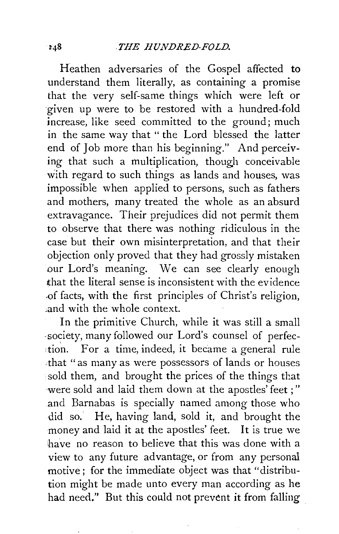Heathen adversaries of the Gospel affected to understand them literally, as containing a promise that the very self-same things which were left or given up were to be restored with a hundred-fold increase, like seed committed to the ground; much in the same way that "the Lord blessed the latter end of Job more than his beginning." And perceiving that such a multiplication, though conceivable with regard to such things as lands and houses, was impossible when applied to persons, such as fathers and mothers, many treated the whole as an absurd extravagance. Their prejudices did not permit them to observe that there was nothing ridiculous in the case but their own misinterpretation, and that their objection only proved that they had grossly mistaken our Lord's meaning. We can see clearly enough that the literal sense is inconsistent with the evidence .of facts, with the first principles of Christ's religion, and with the whole context.

In the primitive Church, while it was still a small -society, many followed our Lord's counsel of perfec tion. For a time, indeed, it became a general rule .that "as many as were possessors of lands or houses ·sold them, and brought the prices of the things that were sold and laid them down at the apostles' feet ; " and Barnabas is specially named among those who did so. He, having land, sold it, and brought the money and laid it at the apostles' feet. It is true we have no reason to believe that this was done with a view to any future advantage, or from any personal motive; for the immediate object was that "distribution might be made unto every man according as he had need." But this could not prevent it from falling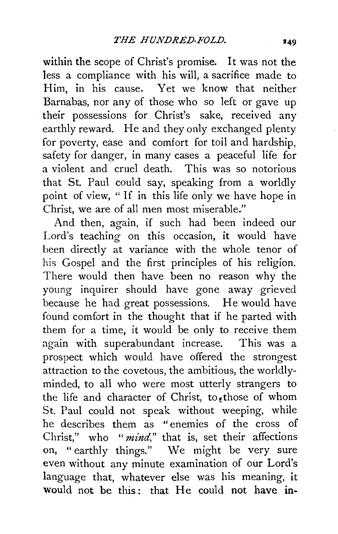within the scope of Christ's promise. It was not the less a compliance with his will, a sacrifice made to Him, in his cause. Yet we know that neither Barnabas, nor any of those who so left or gave up their possessions for Christ's sake, received any earthly reward. He and they only exchanged plenty for poverty, ease and comfort for toil and hardship, safety for danger, in many cases a peaceful life for a violent and cruel death. This was so notorious that St. Paul could say, speaking from a worldly point of view, " If in this life only we have hope in Christ, we are of all men most miserable."

And then, again, if such had been indeed our Lord's teaching on this occasion, it would have been directly at variance with the whole tenor of his Gospel and the first principles of his religion. There would then have been no reason why the young inquirer should have gone away grieved because he had great possessions. He would have found comfort in the thought that if he parted with them for a time, it would be only to receive them again with superabundant increase. This was a prospect which would have offered the strongest attraction to the covetous, the ambitious, the worldlyminded, to all who were most utterly strangers to the life and character of Christ, to those of whom St. Paul could not speak without weeping, while he describes them as " enemies of the cross of Christ," who *"mind,"* that is, set their affections on, "earthly things." We might be very sure even without any minute examination of our Lord's language that, whatever else was his meaning, it would not be this: that He could not have in-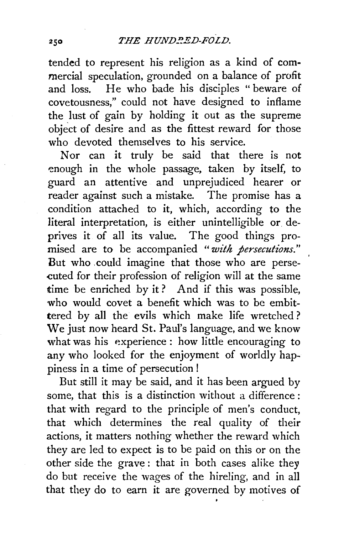tended to represent his religion as a kind of commercial speculation, grounded on a balance of profit and loss. He who bade his disciples "beware of He who bade his disciples "beware of covetousness," could not have designed to inflame the lust of gain by holding it out as the supreme object of desire and as the fittest reward for those who devoted themselves to his service.

Nor can it truly be said that there is not -enough in the whole passage. taken by itself, to guard an attentive and unprejudiced hearer or reader against such a mistake. The promise has a condition attached to it, which, according to the literal interpretation, is either unintelligible or. deprives it of all its value. The good things promised are to be accompanied *"with persecutions."*  But who .could imagine that those who are perse cuted for their profession of religion will at the same time be enriched by it? And if this was possible, who would covet a benefit which was to be embittered by all the evils which make life wretched ? We just now heard St. Paul's language, and we know what was his experience: how little encouraging to any who looked for the enjoyment of worldly happiness in a time of persecution !

But still it may be said, and it has been argued by some, that this is a distinction without a difference : that with regard to the principle of men's conduct, that which determines the real quality of their actions, it matters nothing whether the reward which they are led to expect is to be paid on this or on the other side the grave: that in both cases alike they do but receive the wages of the hireling, and in all that they do to earn it are governed by motives of

250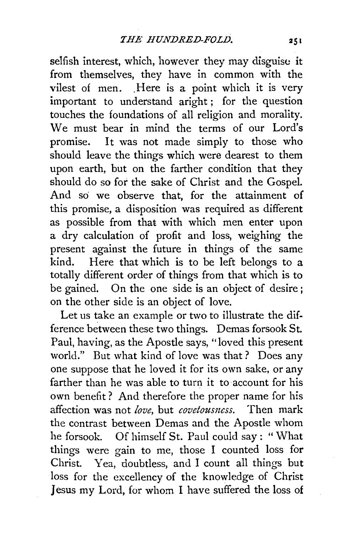selfish interest, which, however they may disguise it from themselves, they have in common with the vilest of men. Here is a point which it is very important to understand aright ; for the question touches the foundations of all religion and morality. We must bear in mind the terms of our Lord's promise. It was not made simply to those who should leave the things which were dearest to them upon earth, but on the farther condition that they should do so for the sake of Christ and the Gospel. And so we observe that, for the attainment of this promise, a disposition was required as different as possible from that with which men enter upon a dry calculation of profit and loss, weighing the present against the future in things of the same kind. Here that which is to be left belongs to a totally different order of things from that which is to be gained. On the one side is an object of desire ; on the other side is an object of love.

Let us take an example or two to illustrate the difference between these two things. Demas forsook St. Paul, having, as the Apostle says, "loved this present world." But what kind of love was that ? Does any one suppose that he loved it for its own sake, or any farther than he was able to turn it to account for his own benefit ? And therefore the proper name for his affection was not *love*, but *covetousness*. Then mark the contrast between Demas and the Apostle whom he forsook. Of himself St. Paul could say : "What things were gain to me, those I counted loss for Christ. Yea, doubtless, and I count all things but loss for the excellency of the knowledge of Christ Jesus my Lord, for whom I have suffered the loss of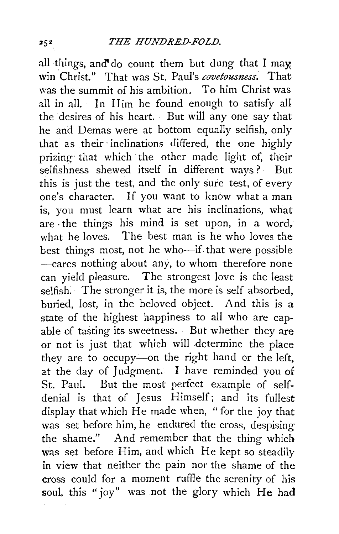all things, and do count them but dung that I may win Christ." That was St. Paul's *covetousness.* That was the summit of his ambition. To him Christ was all in all. In Him he found enough to satisfy all the desires of his heart. But will any one say that he and Demas were at bottom equally selfish, only that as their inclinations differed, the one highly prizing that which the other made light of, their selfishness shewed itself in different ways? But this is just the test, and the only sure test, of every one's character. If you want to know what a man is, you must learn what are his inclinations, what are . the things his mind is set upon, in a word, what he loves. The best man is he who loves the best things most, not he who-if that were possible -cares nothing about any, to whom therefore none can yield pleasure. The strongest love is the least selfish. The stronger it is, the more is self absorbed, buried, lost, in the beloved object. And this is a state of the highest happiness to all who are capable of tasting its sweetness. But whether they are or not is just that which will determine the place they are to occupy-on the right hand or the left, at the day of Judgment. I have reminded you of St. Paul. But the most perfect example of selfdenial is that of Jesus Himself; and its fullest display that which He made when, "for the joy that was set before him, he endured the cross, despising the shame." And remember that the thing which was set before Him, and which He kept so steadily in view that neither the pain nor the shame of the cross could for a moment ruffle the serenity of his soul, this "joy" was not the glory which He had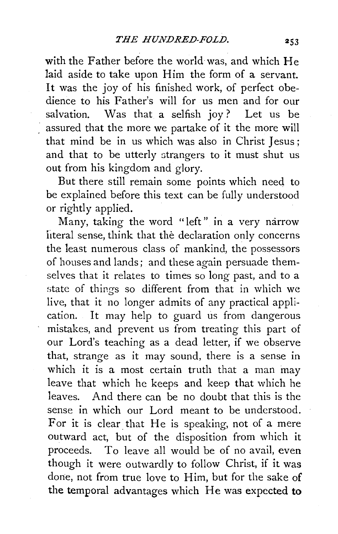with the Father before the world was, and which He laid aside to take upon Him the form of a servant. It was the joy of his finished work, of perfect obedience to his Father's will for us men and for our salvation. Was that a selfish joy? Let us be assured that the more we partake of it the more will that mind be in us which was also in Christ Jesus ; and that to be utterly strangers to it must shut us out from his kingdom and glory.

But there still remain some points which need to be explained before this text can be fully understood or rightly applied.

Many, taking the word "left" in a very narrow literal sense, think that the declaration only concerns the least numerous class of mankind, the possessors of houses and lands; and these again persuade themselves that it relates to times so long past, and to a state of things so different from that in which we live, that it no longer admits of any practical application. It may help to guard us from dangerous mistakes, and prevent us from treating this part of our Lord's teaching as a dead letter, if we observe that, strange as it may sound, there is a sense in which it is a most certain truth that a man may leave that which he keeps and keep that which he leaves. And there can be no doubt that this is the sense in which our Lord meant to be understood. For it is clear that He is speaking, not of a mere outward act, but of the disposition from which it proceeds. To leave all would be of no avail, even though it were outwardly to follow Christ, if it was done, not from true love to Him, but for the sake of **the** temporal advantages which He was expected **to**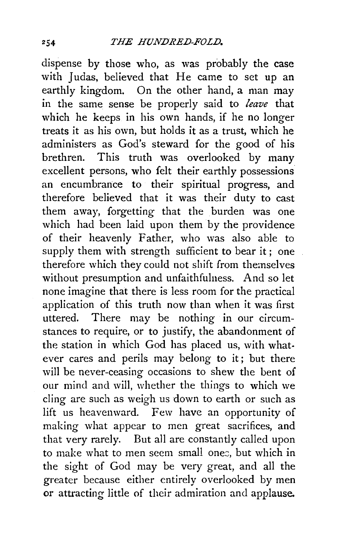dispense by those who, as was probably the case with Judas, believed that He came to set up an earthly kingdom. On the other hand, a man may in the same sense be properly said to *leave* that which he keeps in his own hands, if he no longer treats it as his own, but holds it as a trust, which he administers as God's steward for the good of his brethren. This truth was overlooked by many excellent persons, who felt their earthly possessions an encumbrance to their spiritual progress, and therefore believed that it was their duty to cast them away, forgetting that the burden was one which had been laid upon them by the providence of their heavenly Father, who was also able to supply them with strength sufficient to bear it; one therefore which they could not shift from themselves without presumption and unfaithfulness. And so let none imagine that there is less room for the practical application of this truth now than when it was first uttered. There may be nothing in our circumstances to require, or to justify, the abandonment of the station in which God has placed us, with whatever cares and perils may belong to it; but there will be never-ceasing occasions to shew the bent of our mind and will, whether the things to which we cling are such as weigh us down to earth or such as lift us heavenward. Few have an opportunity of making what appear to men great sacrifices, and that very rarely. But all are constantly called upon to make what to men seem small ones, but which in the sight of God may be very great, and all the greater because either entirely overlooked by men or attracting little of their admiration and applause.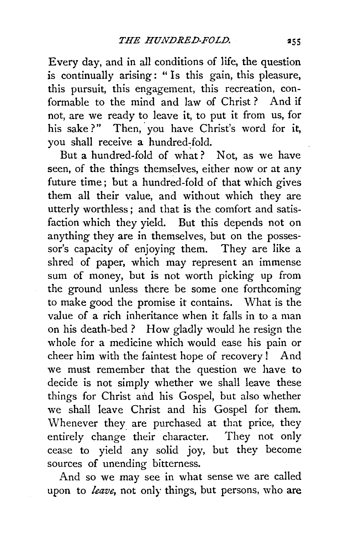Every day, and in all conditions of life, the question is continually arising: " Is this gain, this pleasure, this pursuit, this engagement, this recreation, conformable to the mind and law of Christ ? And if not, are we ready to leave it, to put it from us, for his sake?" Then, you have Christ's word for it, you shall receive a hundred-fold.

But a hundred-fold of what ? Not, as we have seen, of the things themselves, either now or at any future time; but a hundred-fold of that which gives them all their value, and without which they are utterly worthless; and that is the comfort and satisfaction which they yield. But this depends not on anything they are in themselves, but on the possessor's capacity of enjoying them. They are like a shred of paper, which may represent an immense sum of money, but is not worth picking up from the ground unless there be some one forthcoming to make good the promise it contains. What is the value of a rich inheritance when it falls in to a man on his death-bed ? How gladly would he resign the whole for a medicine which would ease his pain or cheer him with the faintest hope of recovery ! And we must remember that the question we have to decide is not simply whether we shall leave these things for Christ and his Gospel, but also whether we shall leave Christ and his Gospel for them. Whenever they are purchased at that price, they entirely change their character. They not only cease to yield any solid joy, but they become sources of unending bitterness.

And so we may see in what sense we are called upon to *leave,* not only things, but persons, who are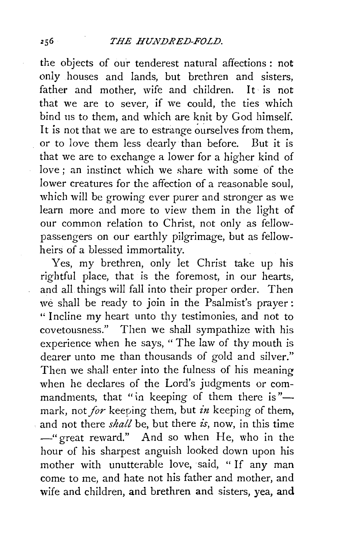the objects of our tenderest natural affections : not only houses and lands, but brethren and sisters, father and mother, wife and children. It is not that we are to sever, if we could, the ties which bind us to them, and which are knit by God himself. It is not that we are to estrange ourselves from them, or to love them less dearly than before. But it is that we are to exchange a lower for a higher kind of love ; an instinct which we share with some of the lower creatures for the affection of a reasonable soul, which will be growing ever purer and stronger as we learn more and more to view them in the light of our common relation to Christ, not only as fellowpassengers on our earthly pilgrimage, but as fellowheirs of a blessed immortality.

Yes, my brethren, only let Christ take up his rightful place, that is the foremost, in our hearts, and all things will fall into their proper order. Then we shall be ready to join in the Psalmist's prayer: " Incline my heart unto thy testimonies, and not to covetousness." Then we shall sympathize with his experience when he says, "The law of thy mouth is dearer unto me than thousands of gold and silver." Then we shall enter into the fulness of his meaning when he declares of the Lord's judgments or commandments, that "in keeping of them there is"mark, not *for* keeping them, but *in* keeping of them, and not there *shall* be, but there *is,* now, in this time -"great reward." And so when He, who in the hour of his sharpest anguish looked down upon his mother with unutterable love, said, " If any man come to me, and hate not his father and mother, and wife and children, and brethren and sisters, yea, **and**